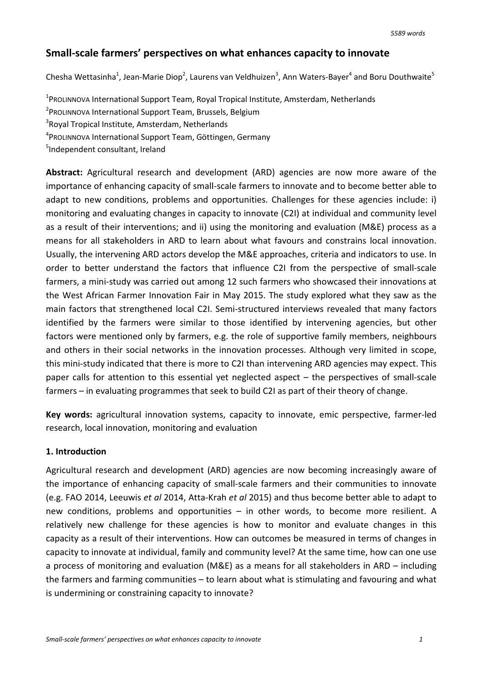# **Small-scale farmers' perspectives on what enhances capacity to innovate**

Chesha Wettasinha<sup>1</sup>, Jean-Marie Diop<sup>2</sup>, Laurens van Veldhuizen<sup>3</sup>, Ann Waters-Bayer<sup>4</sup> and Boru Douthwaite<sup>5</sup>

<sup>1</sup> ProLINNOVA International Support Team, Royal Tropical Institute, Amsterdam, Netherlands

- <sup>2</sup> ProLINNOVA International Support Team, Brussels, Belgium
- <sup>3</sup>Royal Tropical Institute, Amsterdam, Netherlands
- 4 PROLINNOVA International Support Team, Göttingen, Germany
- 5 Independent consultant, Ireland

**Abstract:** Agricultural research and development (ARD) agencies are now more aware of the importance of enhancing capacity of small-scale farmers to innovate and to become better able to adapt to new conditions, problems and opportunities. Challenges for these agencies include: i) monitoring and evaluating changes in capacity to innovate (C2I) at individual and community level as a result of their interventions; and ii) using the monitoring and evaluation (M&E) process as a means for all stakeholders in ARD to learn about what favours and constrains local innovation. Usually, the intervening ARD actors develop the M&E approaches, criteria and indicators to use. In order to better understand the factors that influence C2I from the perspective of small-scale farmers, a mini-study was carried out among 12 such farmers who showcased their innovations at the West African Farmer Innovation Fair in May 2015. The study explored what they saw as the main factors that strengthened local C2I. Semi-structured interviews revealed that many factors identified by the farmers were similar to those identified by intervening agencies, but other factors were mentioned only by farmers, e.g. the role of supportive family members, neighbours and others in their social networks in the innovation processes. Although very limited in scope, this mini-study indicated that there is more to C2I than intervening ARD agencies may expect. This paper calls for attention to this essential yet neglected aspect – the perspectives of small-scale farmers – in evaluating programmes that seek to build C2I as part of their theory of change.

**Key words:** agricultural innovation systems, capacity to innovate, emic perspective, farmer-led research, local innovation, monitoring and evaluation

### **1. Introduction**

Agricultural research and development (ARD) agencies are now becoming increasingly aware of the importance of enhancing capacity of small-scale farmers and their communities to innovate (e.g. FAO 2014, Leeuwis *et al* 2014, Atta-Krah *et al* 2015) and thus become better able to adapt to new conditions, problems and opportunities – in other words, to become more resilient. A relatively new challenge for these agencies is how to monitor and evaluate changes in this capacity as a result of their interventions. How can outcomes be measured in terms of changes in capacity to innovate at individual, family and community level? At the same time, how can one use a process of monitoring and evaluation (M&E) as a means for all stakeholders in ARD – including the farmers and farming communities – to learn about what is stimulating and favouring and what is undermining or constraining capacity to innovate?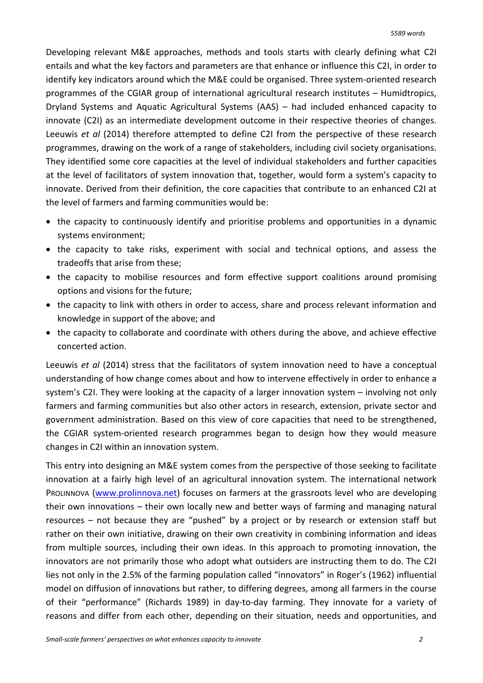Developing relevant M&E approaches, methods and tools starts with clearly defining what C2I entails and what the key factors and parameters are that enhance or influence this C2I, in order to identify key indicators around which the M&E could be organised. Three system-oriented research programmes of the CGIAR group of international agricultural research institutes – Humidtropics, Dryland Systems and Aquatic Agricultural Systems (AAS) – had included enhanced capacity to innovate (C2I) as an intermediate development outcome in their respective theories of changes. Leeuwis *et al* (2014) therefore attempted to define C2I from the perspective of these research programmes, drawing on the work of a range of stakeholders, including civil society organisations. They identified some core capacities at the level of individual stakeholders and further capacities at the level of facilitators of system innovation that, together, would form a system's capacity to innovate. Derived from their definition, the core capacities that contribute to an enhanced C2I at the level of farmers and farming communities would be:

- the capacity to continuously identify and prioritise problems and opportunities in a dynamic systems environment;
- the capacity to take risks, experiment with social and technical options, and assess the tradeoffs that arise from these;
- the capacity to mobilise resources and form effective support coalitions around promising options and visions for the future;
- the capacity to link with others in order to access, share and process relevant information and knowledge in support of the above; and
- the capacity to collaborate and coordinate with others during the above, and achieve effective concerted action.

Leeuwis *et al* (2014) stress that the facilitators of system innovation need to have a conceptual understanding of how change comes about and how to intervene effectively in order to enhance a system's C2I. They were looking at the capacity of a larger innovation system – involving not only farmers and farming communities but also other actors in research, extension, private sector and government administration. Based on this view of core capacities that need to be strengthened, the CGIAR system-oriented research programmes began to design how they would measure changes in C2I within an innovation system.

This entry into designing an M&E system comes from the perspective of those seeking to facilitate innovation at a fairly high level of an agricultural innovation system. The international network PROLINNOVA [\(www.prolinnova.net\)](http://www.prolinnova.net/) focuses on farmers at the grassroots level who are developing their own innovations – their own locally new and better ways of farming and managing natural resources – not because they are "pushed" by a project or by research or extension staff but rather on their own initiative, drawing on their own creativity in combining information and ideas from multiple sources, including their own ideas. In this approach to promoting innovation, the innovators are not primarily those who adopt what outsiders are instructing them to do. The C2I lies not only in the 2.5% of the farming population called "innovators" in Roger's (1962) influential model on diffusion of innovations but rather, to differing degrees, among all farmers in the course of their "performance" (Richards 1989) in day-to-day farming. They innovate for a variety of reasons and differ from each other, depending on their situation, needs and opportunities, and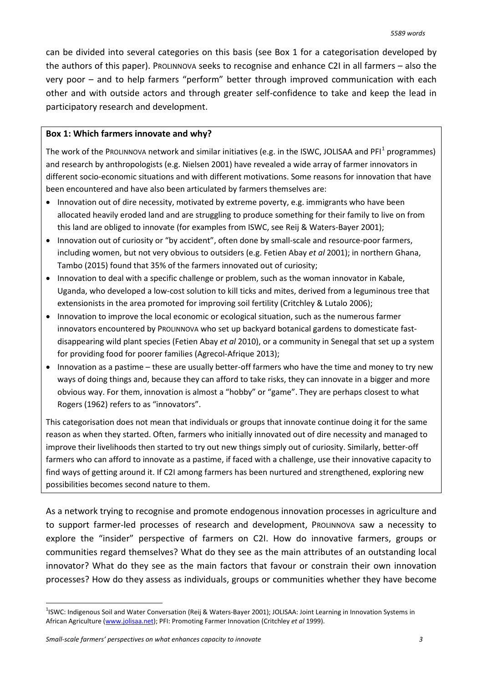can be divided into several categories on this basis (see Box 1 for a categorisation developed by the authors of this paper). PROLINNOVA seeks to recognise and enhance C2I in all farmers – also the very poor – and to help farmers "perform" better through improved communication with each other and with outside actors and through greater self-confidence to take and keep the lead in participatory research and development.

#### **Box 1: Which farmers innovate and why?**

The work of the PROLINNOVA network and similar initiatives (e.g. in the ISWC, JOLISAA and PFI<sup>[1](#page-2-0)</sup> programmes) and research by anthropologists (e.g. Nielsen 2001) have revealed a wide array of farmer innovators in different socio-economic situations and with different motivations. Some reasons for innovation that have been encountered and have also been articulated by farmers themselves are:

- Innovation out of dire necessity, motivated by extreme poverty, e.g. immigrants who have been allocated heavily eroded land and are struggling to produce something for their family to live on from this land are obliged to innovate (for examples from ISWC, see Reij & Waters-Bayer 2001);
- Innovation out of curiosity or "by accident", often done by small-scale and resource-poor farmers, including women, but not very obvious to outsiders (e.g. Fetien Abay *et al* 2001); in northern Ghana, Tambo (2015) found that 35% of the farmers innovated out of curiosity;
- Innovation to deal with a specific challenge or problem, such as the woman innovator in Kabale, Uganda, who developed a low-cost solution to kill ticks and mites, derived from a leguminous tree that extensionists in the area promoted for improving soil fertility (Critchley & Lutalo 2006);
- Innovation to improve the local economic or ecological situation, such as the numerous farmer innovators encountered by PROLINNOVA who set up backyard botanical gardens to domesticate fastdisappearing wild plant species (Fetien Abay *et al* 2010), or a community in Senegal that set up a system for providing food for poorer families (Agrecol-Afrique 2013);
- Innovation as a pastime these are usually better-off farmers who have the time and money to try new ways of doing things and, because they can afford to take risks, they can innovate in a bigger and more obvious way. For them, innovation is almost a "hobby" or "game". They are perhaps closest to what Rogers (1962) refers to as "innovators".

This categorisation does not mean that individuals or groups that innovate continue doing it for the same reason as when they started. Often, farmers who initially innovated out of dire necessity and managed to improve their livelihoods then started to try out new things simply out of curiosity. Similarly, better-off farmers who can afford to innovate as a pastime, if faced with a challenge, use their innovative capacity to find ways of getting around it. If C2I among farmers has been nurtured and strengthened, exploring new possibilities becomes second nature to them.

As a network trying to recognise and promote endogenous innovation processes in agriculture and to support farmer-led processes of research and development, PROLINNOVA saw a necessity to explore the "insider" perspective of farmers on C2I. How do innovative farmers, groups or communities regard themselves? What do they see as the main attributes of an outstanding local innovator? What do they see as the main factors that favour or constrain their own innovation processes? How do they assess as individuals, groups or communities whether they have become

<span id="page-2-0"></span>1 ISWC: Indigenous Soil and Water Conversation (Reij & Waters-Bayer 2001); JOLISAA: Joint Learning in Innovation Systems in African Agriculture [\(www.jolisaa.net\)](http://www.jolisaa.net/); PFI: Promoting Farmer Innovation (Critchley *et al* 1999).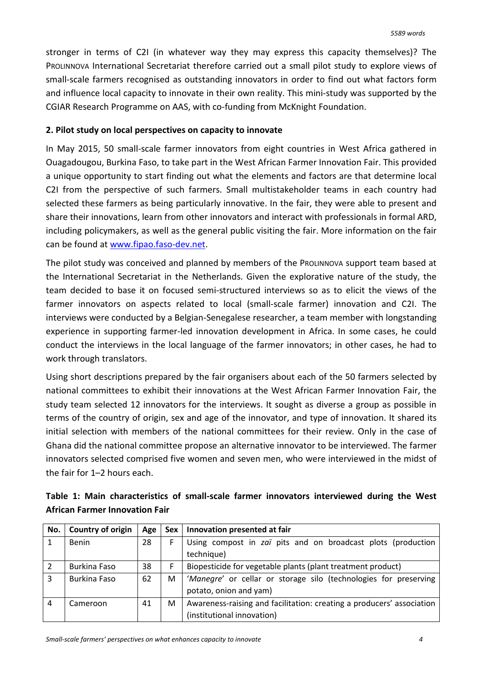stronger in terms of C2I (in whatever way they may express this capacity themselves)? The PROLINNOVA International Secretariat therefore carried out a small pilot study to explore views of small-scale farmers recognised as outstanding innovators in order to find out what factors form and influence local capacity to innovate in their own reality. This mini-study was supported by the CGIAR Research Programme on AAS, with co-funding from McKnight Foundation.

## **2. Pilot study on local perspectives on capacity to innovate**

In May 2015, 50 small-scale farmer innovators from eight countries in West Africa gathered in Ouagadougou, Burkina Faso, to take part in the West African Farmer Innovation Fair. This provided a unique opportunity to start finding out what the elements and factors are that determine local C2I from the perspective of such farmers. Small multistakeholder teams in each country had selected these farmers as being particularly innovative. In the fair, they were able to present and share their innovations, learn from other innovators and interact with professionals in formal ARD, including policymakers, as well as the general public visiting the fair. More information on the fair can be found at [www.fipao.faso-dev.net.](http://www.fipao.faso-dev.net/)

The pilot study was conceived and planned by members of the PROLINNOVA support team based at the International Secretariat in the Netherlands. Given the explorative nature of the study, the team decided to base it on focused semi-structured interviews so as to elicit the views of the farmer innovators on aspects related to local (small-scale farmer) innovation and C2I. The interviews were conducted by a Belgian-Senegalese researcher, a team member with longstanding experience in supporting farmer-led innovation development in Africa. In some cases, he could conduct the interviews in the local language of the farmer innovators; in other cases, he had to work through translators.

Using short descriptions prepared by the fair organisers about each of the 50 farmers selected by national committees to exhibit their innovations at the West African Farmer Innovation Fair, the study team selected 12 innovators for the interviews. It sought as diverse a group as possible in terms of the country of origin, sex and age of the innovator, and type of innovation. It shared its initial selection with members of the national committees for their review. Only in the case of Ghana did the national committee propose an alternative innovator to be interviewed. The farmer innovators selected comprised five women and seven men, who were interviewed in the midst of the fair for 1–2 hours each.

| Table 1: Main characteristics of small-scale farmer innovators interviewed during the West |  |  |  |  |
|--------------------------------------------------------------------------------------------|--|--|--|--|
| <b>African Farmer Innovation Fair</b>                                                      |  |  |  |  |

| No.            | <b>Country of origin</b> | Age | Sex | Innovation presented at fair                                          |  |
|----------------|--------------------------|-----|-----|-----------------------------------------------------------------------|--|
|                | <b>Benin</b>             | 28  |     | Using compost in zaï pits and on broadcast plots (production          |  |
|                |                          |     |     | technique)                                                            |  |
|                | Burkina Faso             | 38  | F   | Biopesticide for vegetable plants (plant treatment product)           |  |
| 3              | Burkina Faso             | 62  | М   | 'Manegre' or cellar or storage silo (technologies for preserving      |  |
|                |                          |     |     | potato, onion and yam)                                                |  |
| $\overline{4}$ | Cameroon                 | 41  | м   | Awareness-raising and facilitation: creating a producers' association |  |
|                |                          |     |     | (institutional innovation)                                            |  |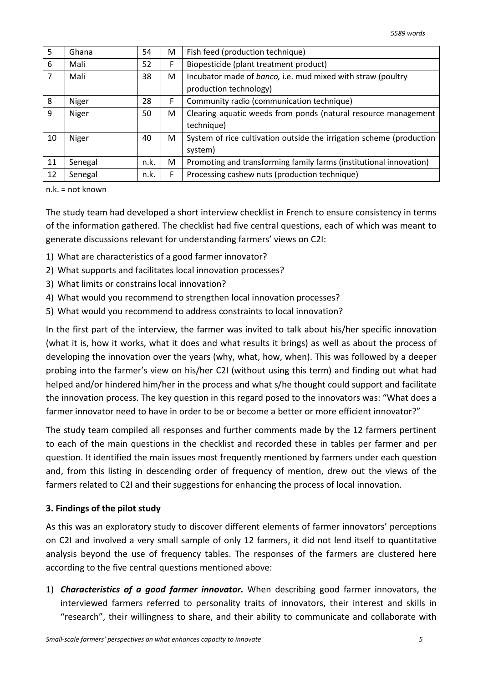| 5  | Ghana   | 54   | М  | Fish feed (production technique)                                     |
|----|---------|------|----|----------------------------------------------------------------------|
| 6  | Mali    | 52   | F. | Biopesticide (plant treatment product)                               |
| 7  | Mali    | 38   | М  | Incubator made of banco, i.e. mud mixed with straw (poultry          |
|    |         |      |    | production technology)                                               |
| 8  | Niger   | 28   | F  | Community radio (communication technique)                            |
| 9  | Niger   | 50   | М  | Clearing aquatic weeds from ponds (natural resource management       |
|    |         |      |    | technique)                                                           |
| 10 | Niger   | 40   | М  | System of rice cultivation outside the irrigation scheme (production |
|    |         |      |    | system)                                                              |
| 11 | Senegal | n.k. | М  | Promoting and transforming family farms (institutional innovation)   |
| 12 | Senegal | n.k. | F  | Processing cashew nuts (production technique)                        |

n.k. = not known

The study team had developed a short interview checklist in French to ensure consistency in terms of the information gathered. The checklist had five central questions, each of which was meant to generate discussions relevant for understanding farmers' views on C2I:

- 1) What are characteristics of a good farmer innovator?
- 2) What supports and facilitates local innovation processes?
- 3) What limits or constrains local innovation?
- 4) What would you recommend to strengthen local innovation processes?
- 5) What would you recommend to address constraints to local innovation?

In the first part of the interview, the farmer was invited to talk about his/her specific innovation (what it is, how it works, what it does and what results it brings) as well as about the process of developing the innovation over the years (why, what, how, when). This was followed by a deeper probing into the farmer's view on his/her C2I (without using this term) and finding out what had helped and/or hindered him/her in the process and what s/he thought could support and facilitate the innovation process. The key question in this regard posed to the innovators was: "What does a farmer innovator need to have in order to be or become a better or more efficient innovator?"

The study team compiled all responses and further comments made by the 12 farmers pertinent to each of the main questions in the checklist and recorded these in tables per farmer and per question. It identified the main issues most frequently mentioned by farmers under each question and, from this listing in descending order of frequency of mention, drew out the views of the farmers related to C2I and their suggestions for enhancing the process of local innovation.

### **3. Findings of the pilot study**

As this was an exploratory study to discover different elements of farmer innovators' perceptions on C2I and involved a very small sample of only 12 farmers, it did not lend itself to quantitative analysis beyond the use of frequency tables. The responses of the farmers are clustered here according to the five central questions mentioned above:

1) *Characteristics of a good farmer innovator.* When describing good farmer innovators, the interviewed farmers referred to personality traits of innovators, their interest and skills in "research", their willingness to share, and their ability to communicate and collaborate with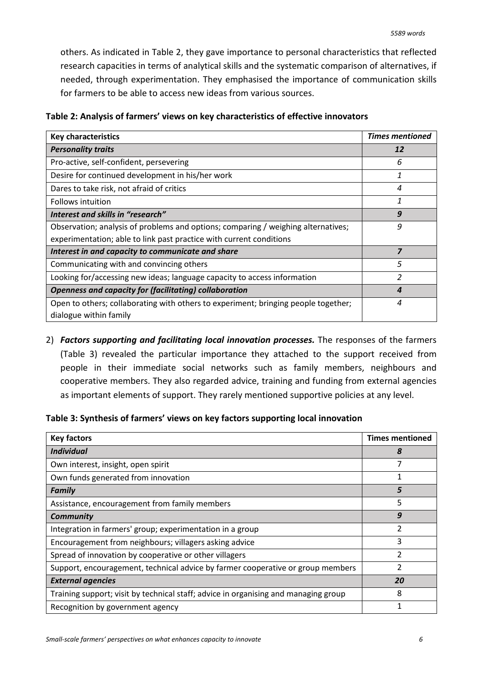others. As indicated in Table 2, they gave importance to personal characteristics that reflected research capacities in terms of analytical skills and the systematic comparison of alternatives, if needed, through experimentation. They emphasised the importance of communication skills for farmers to be able to access new ideas from various sources.

| <b>Key characteristics</b>                                                         | <b>Times mentioned</b> |
|------------------------------------------------------------------------------------|------------------------|
| <b>Personality traits</b>                                                          | 12                     |
| Pro-active, self-confident, persevering                                            | 6                      |
| Desire for continued development in his/her work                                   | 1                      |
| Dares to take risk, not afraid of critics                                          | 4                      |
| <b>Follows intuition</b>                                                           | 1                      |
| Interest and skills in "research"                                                  | 9                      |
| Observation; analysis of problems and options; comparing / weighing alternatives;  | 9                      |
| experimentation; able to link past practice with current conditions                |                        |
| Interest in and capacity to communicate and share                                  | $\overline{z}$         |
| Communicating with and convincing others                                           | 5                      |
| Looking for/accessing new ideas; language capacity to access information           | $\mathfrak z$          |
| <b>Openness and capacity for (facilitating) collaboration</b>                      | 4                      |
| Open to others; collaborating with others to experiment; bringing people together; | 4                      |
| dialogue within family                                                             |                        |

2) *Factors supporting and facilitating local innovation processes.* The responses of the farmers (Table 3) revealed the particular importance they attached to the support received from people in their immediate social networks such as family members, neighbours and cooperative members. They also regarded advice, training and funding from external agencies as important elements of support. They rarely mentioned supportive policies at any level.

**Table 3: Synthesis of farmers' views on key factors supporting local innovation**

| <b>Key factors</b>                                                                  | <b>Times mentioned</b> |
|-------------------------------------------------------------------------------------|------------------------|
| <b>Individual</b>                                                                   | 8                      |
| Own interest, insight, open spirit                                                  |                        |
| Own funds generated from innovation                                                 | 1                      |
| <b>Family</b>                                                                       | 5                      |
| Assistance, encouragement from family members                                       | 5                      |
| <b>Community</b>                                                                    | 9                      |
| Integration in farmers' group; experimentation in a group                           | 2                      |
| Encouragement from neighbours; villagers asking advice                              | 3                      |
| Spread of innovation by cooperative or other villagers                              | $\mathfrak{p}$         |
| Support, encouragement, technical advice by farmer cooperative or group members     | 2                      |
| <b>External agencies</b>                                                            | 20                     |
| Training support; visit by technical staff; advice in organising and managing group | 8                      |
| Recognition by government agency                                                    |                        |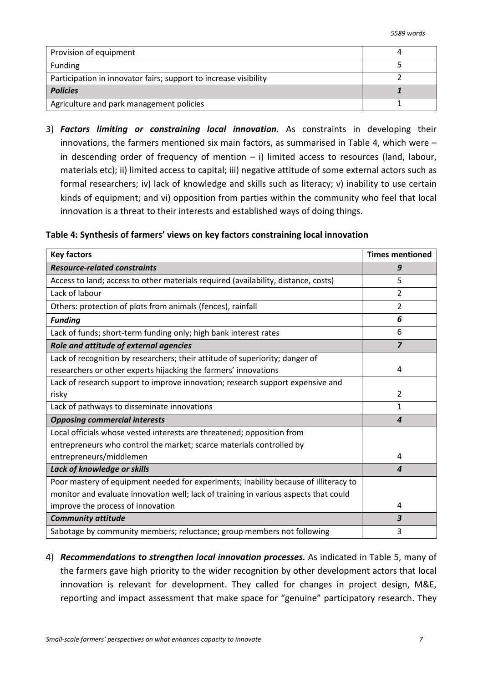| Provision of equipment                                           |  |
|------------------------------------------------------------------|--|
| Funding                                                          |  |
| Participation in innovator fairs; support to increase visibility |  |
| <b>Policies</b>                                                  |  |
| Agriculture and park management policies                         |  |

3) *Factors limiting or constraining local innovation.* As constraints in developing their innovations, the farmers mentioned six main factors, as summarised in Table 4, which were – in descending order of frequency of mention  $-$  i) limited access to resources (land, labour, materials etc); ii) limited access to capital; iii) negative attitude of some external actors such as formal researchers; iv) lack of knowledge and skills such as literacy; v) inability to use certain kinds of equipment; and vi) opposition from parties within the community who feel that local innovation is a threat to their interests and established ways of doing things.

### **Table 4: Synthesis of farmers' views on key factors constraining local innovation**

| <b>Key factors</b>                                                                   | <b>Times mentioned</b> |
|--------------------------------------------------------------------------------------|------------------------|
| <b>Resource-related constraints</b>                                                  | 9                      |
| Access to land; access to other materials required (availability, distance, costs)   | 5                      |
| Lack of labour                                                                       | 2                      |
| Others: protection of plots from animals (fences), rainfall                          | 2                      |
| <b>Funding</b>                                                                       | 6                      |
| Lack of funds; short-term funding only; high bank interest rates                     | 6                      |
| Role and attitude of external agencies                                               | $\overline{z}$         |
| Lack of recognition by researchers; their attitude of superiority; danger of         |                        |
| researchers or other experts hijacking the farmers' innovations                      | 4                      |
| Lack of research support to improve innovation; research support expensive and       |                        |
| risky                                                                                | 2                      |
| Lack of pathways to disseminate innovations                                          | $\mathbf{1}$           |
| <b>Opposing commercial interests</b>                                                 | $\boldsymbol{4}$       |
| Local officials whose vested interests are threatened; opposition from               |                        |
| entrepreneurs who control the market; scarce materials controlled by                 |                        |
| entrepreneurs/middlemen                                                              | 4                      |
| Lack of knowledge or skills                                                          | 4                      |
| Poor mastery of equipment needed for experiments; inability because of illiteracy to |                        |
| monitor and evaluate innovation well; lack of training in various aspects that could |                        |
| improve the process of innovation                                                    | 4                      |
| <b>Community attitude</b>                                                            | 3                      |
| Sabotage by community members; reluctance; group members not following               | 3                      |

4) *Recommendations to strengthen local innovation processes.* As indicated in Table 5, many of the farmers gave high priority to the wider recognition by other development actors that local innovation is relevant for development. They called for changes in project design, M&E, reporting and impact assessment that make space for "genuine" participatory research. They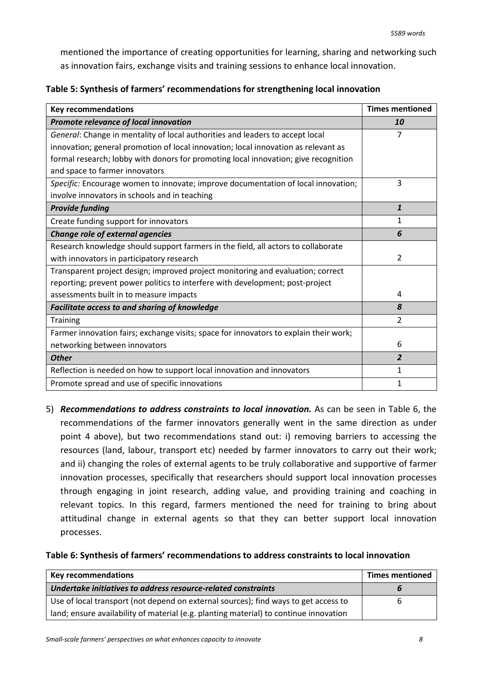mentioned the importance of creating opportunities for learning, sharing and networking such as innovation fairs, exchange visits and training sessions to enhance local innovation.

| Table 5: Synthesis of farmers' recommendations for strengthening local innovation |  |  |  |
|-----------------------------------------------------------------------------------|--|--|--|
|-----------------------------------------------------------------------------------|--|--|--|

| <b>Key recommendations</b>                                                            | <b>Times mentioned</b> |
|---------------------------------------------------------------------------------------|------------------------|
| Promote relevance of local innovation                                                 | 10                     |
| General: Change in mentality of local authorities and leaders to accept local         | 7                      |
| innovation; general promotion of local innovation; local innovation as relevant as    |                        |
| formal research; lobby with donors for promoting local innovation; give recognition   |                        |
| and space to farmer innovators                                                        |                        |
| Specific: Encourage women to innovate; improve documentation of local innovation;     | 3                      |
| involve innovators in schools and in teaching                                         |                        |
| <b>Provide funding</b>                                                                | $\mathbf{1}$           |
| Create funding support for innovators                                                 | 1                      |
| Change role of external agencies                                                      | 6                      |
| Research knowledge should support farmers in the field, all actors to collaborate     |                        |
| with innovators in participatory research                                             | $\overline{2}$         |
| Transparent project design; improved project monitoring and evaluation; correct       |                        |
| reporting; prevent power politics to interfere with development; post-project         |                        |
| assessments built in to measure impacts                                               | 4                      |
| Facilitate access to and sharing of knowledge                                         | 8                      |
| <b>Training</b>                                                                       | $\mathfrak{p}$         |
| Farmer innovation fairs; exchange visits; space for innovators to explain their work; |                        |
| networking between innovators                                                         | 6                      |
| <b>Other</b>                                                                          | $\overline{2}$         |
| Reflection is needed on how to support local innovation and innovators                | 1                      |
| Promote spread and use of specific innovations                                        | 1                      |

5) *Recommendations to address constraints to local innovation.* As can be seen in Table 6, the recommendations of the farmer innovators generally went in the same direction as under point 4 above), but two recommendations stand out: i) removing barriers to accessing the resources (land, labour, transport etc) needed by farmer innovators to carry out their work; and ii) changing the roles of external agents to be truly collaborative and supportive of farmer innovation processes, specifically that researchers should support local innovation processes through engaging in joint research, adding value, and providing training and coaching in relevant topics. In this regard, farmers mentioned the need for training to bring about attitudinal change in external agents so that they can better support local innovation processes.

### **Table 6: Synthesis of farmers' recommendations to address constraints to local innovation**

| <b>Key recommendations</b>                                                            | <b>Times mentioned</b> |
|---------------------------------------------------------------------------------------|------------------------|
| Undertake initiatives to address resource-related constraints                         |                        |
| Use of local transport (not depend on external sources); find ways to get access to   | b                      |
| land; ensure availability of material (e.g. planting material) to continue innovation |                        |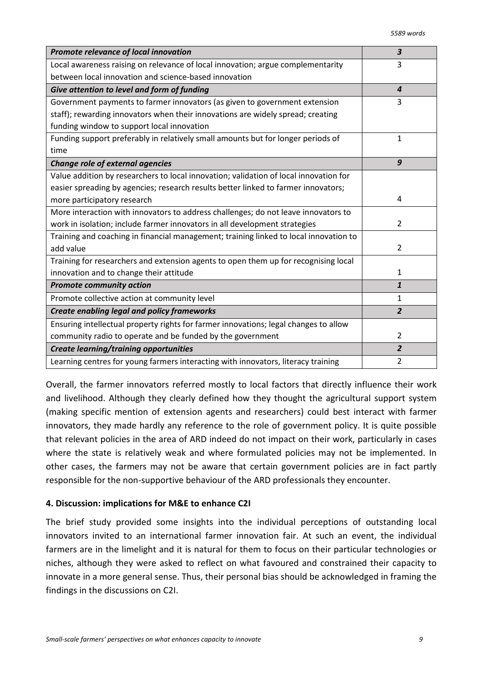| Promote relevance of local innovation                                                 | $\overline{\mathbf{3}}$ |
|---------------------------------------------------------------------------------------|-------------------------|
| Local awareness raising on relevance of local innovation; argue complementarity       | 3                       |
| between local innovation and science-based innovation                                 |                         |
| Give attention to level and form of funding                                           | $\overline{4}$          |
| Government payments to farmer innovators (as given to government extension            | 3                       |
| staff); rewarding innovators when their innovations are widely spread; creating       |                         |
| funding window to support local innovation                                            |                         |
| Funding support preferably in relatively small amounts but for longer periods of      | 1                       |
| time                                                                                  |                         |
| Change role of external agencies                                                      | 9                       |
| Value addition by researchers to local innovation; validation of local innovation for |                         |
| easier spreading by agencies; research results better linked to farmer innovators;    |                         |
| more participatory research                                                           | 4                       |
| More interaction with innovators to address challenges; do not leave innovators to    |                         |
| work in isolation; include farmer innovators in all development strategies            | $\overline{2}$          |
| Training and coaching in financial management; training linked to local innovation to |                         |
| add value                                                                             | $\overline{2}$          |
| Training for researchers and extension agents to open them up for recognising local   |                         |
| innovation and to change their attitude                                               | $\mathbf{1}$            |
| <b>Promote community action</b>                                                       | $\mathbf{1}$            |
| Promote collective action at community level                                          | $\mathbf{1}$            |
| Create enabling legal and policy frameworks                                           | $\overline{2}$          |
| Ensuring intellectual property rights for farmer innovations; legal changes to allow  |                         |
| community radio to operate and be funded by the government                            | $\overline{2}$          |
| <b>Create learning/training opportunities</b>                                         | $\overline{2}$          |
| Learning centres for young farmers interacting with innovators, literacy training     | $\overline{2}$          |

Overall, the farmer innovators referred mostly to local factors that directly influence their work and livelihood. Although they clearly defined how they thought the agricultural support system (making specific mention of extension agents and researchers) could best interact with farmer innovators, they made hardly any reference to the role of government policy. It is quite possible that relevant policies in the area of ARD indeed do not impact on their work, particularly in cases where the state is relatively weak and where formulated policies may not be implemented. In other cases, the farmers may not be aware that certain government policies are in fact partly responsible for the non-supportive behaviour of the ARD professionals they encounter.

### **4. Discussion: implications for M&E to enhance C2I**

The brief study provided some insights into the individual perceptions of outstanding local innovators invited to an international farmer innovation fair. At such an event, the individual farmers are in the limelight and it is natural for them to focus on their particular technologies or niches, although they were asked to reflect on what favoured and constrained their capacity to innovate in a more general sense. Thus, their personal bias should be acknowledged in framing the findings in the discussions on C2I.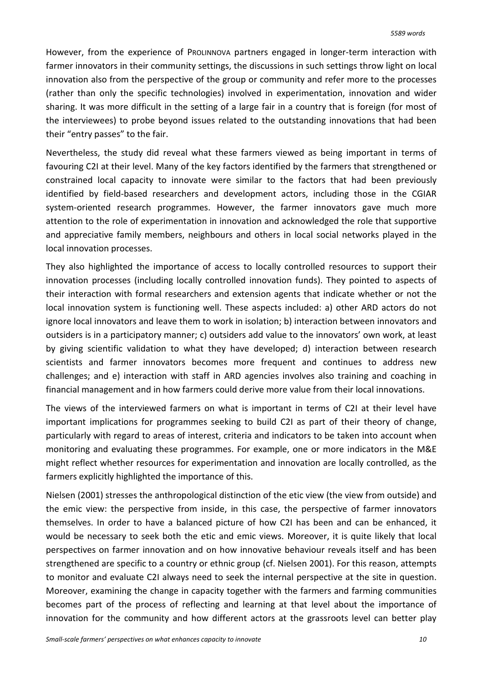However, from the experience of PROLINNOVA partners engaged in longer-term interaction with farmer innovators in their community settings, the discussions in such settings throw light on local innovation also from the perspective of the group or community and refer more to the processes (rather than only the specific technologies) involved in experimentation, innovation and wider sharing. It was more difficult in the setting of a large fair in a country that is foreign (for most of the interviewees) to probe beyond issues related to the outstanding innovations that had been their "entry passes" to the fair.

Nevertheless, the study did reveal what these farmers viewed as being important in terms of favouring C2I at their level. Many of the key factors identified by the farmers that strengthened or constrained local capacity to innovate were similar to the factors that had been previously identified by field-based researchers and development actors, including those in the CGIAR system-oriented research programmes. However, the farmer innovators gave much more attention to the role of experimentation in innovation and acknowledged the role that supportive and appreciative family members, neighbours and others in local social networks played in the local innovation processes.

They also highlighted the importance of access to locally controlled resources to support their innovation processes (including locally controlled innovation funds). They pointed to aspects of their interaction with formal researchers and extension agents that indicate whether or not the local innovation system is functioning well. These aspects included: a) other ARD actors do not ignore local innovators and leave them to work in isolation; b) interaction between innovators and outsiders is in a participatory manner; c) outsiders add value to the innovators' own work, at least by giving scientific validation to what they have developed; d) interaction between research scientists and farmer innovators becomes more frequent and continues to address new challenges; and e) interaction with staff in ARD agencies involves also training and coaching in financial management and in how farmers could derive more value from their local innovations.

The views of the interviewed farmers on what is important in terms of C2I at their level have important implications for programmes seeking to build C2I as part of their theory of change, particularly with regard to areas of interest, criteria and indicators to be taken into account when monitoring and evaluating these programmes. For example, one or more indicators in the M&E might reflect whether resources for experimentation and innovation are locally controlled, as the farmers explicitly highlighted the importance of this.

Nielsen (2001) stresses the anthropological distinction of the etic view (the view from outside) and the emic view: the perspective from inside, in this case, the perspective of farmer innovators themselves. In order to have a balanced picture of how C2I has been and can be enhanced, it would be necessary to seek both the etic and emic views. Moreover, it is quite likely that local perspectives on farmer innovation and on how innovative behaviour reveals itself and has been strengthened are specific to a country or ethnic group (cf. Nielsen 2001). For this reason, attempts to monitor and evaluate C2I always need to seek the internal perspective at the site in question. Moreover, examining the change in capacity together with the farmers and farming communities becomes part of the process of reflecting and learning at that level about the importance of innovation for the community and how different actors at the grassroots level can better play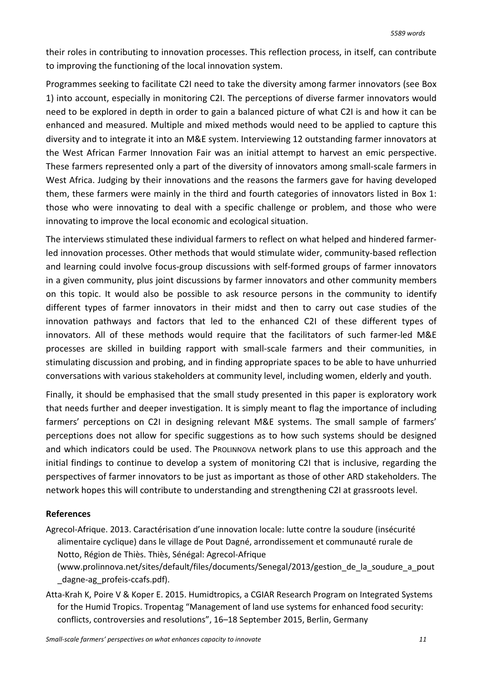their roles in contributing to innovation processes. This reflection process, in itself, can contribute to improving the functioning of the local innovation system.

Programmes seeking to facilitate C2I need to take the diversity among farmer innovators (see Box 1) into account, especially in monitoring C2I. The perceptions of diverse farmer innovators would need to be explored in depth in order to gain a balanced picture of what C2I is and how it can be enhanced and measured. Multiple and mixed methods would need to be applied to capture this diversity and to integrate it into an M&E system. Interviewing 12 outstanding farmer innovators at the West African Farmer Innovation Fair was an initial attempt to harvest an emic perspective. These farmers represented only a part of the diversity of innovators among small-scale farmers in West Africa. Judging by their innovations and the reasons the farmers gave for having developed them, these farmers were mainly in the third and fourth categories of innovators listed in Box 1: those who were innovating to deal with a specific challenge or problem, and those who were innovating to improve the local economic and ecological situation.

The interviews stimulated these individual farmers to reflect on what helped and hindered farmerled innovation processes. Other methods that would stimulate wider, community-based reflection and learning could involve focus-group discussions with self-formed groups of farmer innovators in a given community, plus joint discussions by farmer innovators and other community members on this topic. It would also be possible to ask resource persons in the community to identify different types of farmer innovators in their midst and then to carry out case studies of the innovation pathways and factors that led to the enhanced C2I of these different types of innovators. All of these methods would require that the facilitators of such farmer-led M&E processes are skilled in building rapport with small-scale farmers and their communities, in stimulating discussion and probing, and in finding appropriate spaces to be able to have unhurried conversations with various stakeholders at community level, including women, elderly and youth.

Finally, it should be emphasised that the small study presented in this paper is exploratory work that needs further and deeper investigation. It is simply meant to flag the importance of including farmers' perceptions on C2I in designing relevant M&E systems. The small sample of farmers' perceptions does not allow for specific suggestions as to how such systems should be designed and which indicators could be used. The PROLINNOVA network plans to use this approach and the initial findings to continue to develop a system of monitoring C2I that is inclusive, regarding the perspectives of farmer innovators to be just as important as those of other ARD stakeholders. The network hopes this will contribute to understanding and strengthening C2I at grassroots level.

### **References**

- Agrecol-Afrique. 2013. Caractérisation d'une innovation locale: lutte contre la soudure (insécurité alimentaire cyclique) dans le village de Pout Dagné, arrondissement et communauté rurale de Notto, Région de Thiès. Thiès, Sénégal: Agrecol-Afrique
	- (www.prolinnova.net/sites/default/files/documents/Senegal/2013/gestion\_de\_la\_soudure\_a\_pout \_dagne-ag\_profeis-ccafs.pdf).
- Atta-Krah K, Poire V & Koper E. 2015. Humidtropics, a CGIAR Research Program on Integrated Systems for the Humid Tropics. Tropentag "Management of land use systems for enhanced food security: conflicts, controversies and resolutions", 16–18 September 2015, Berlin, Germany